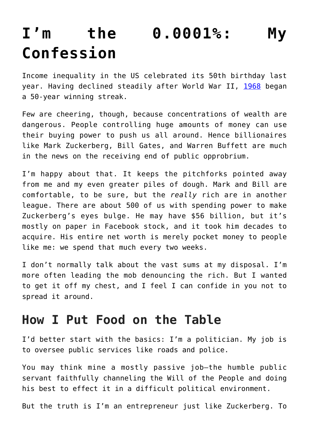# **[I'm the 0.0001%: My](https://intellectualtakeout.org/2019/02/im-the-0-0001-my-confession/) [Confession](https://intellectualtakeout.org/2019/02/im-the-0-0001-my-confession/)**

Income inequality in the US celebrated its 50th birthday last year. Having declined steadily after World War II, [1968](https://fred.stlouisfed.org/series/GINIALLRF) began a 50-year winning streak.

Few are cheering, though, because concentrations of wealth are dangerous. People controlling huge amounts of money can use their buying power to push us all around. Hence billionaires like Mark Zuckerberg, Bill Gates, and Warren Buffett are much in the news on the receiving end of public opprobrium.

I'm happy about that. It keeps the pitchforks pointed away from me and my even greater piles of dough. Mark and Bill are comfortable, to be sure, but the *really* rich are in another league. There are about 500 of us with spending power to make Zuckerberg's eyes bulge. He may have \$56 billion, but it's mostly on paper in Facebook stock, and it took him decades to acquire. His entire net worth is merely pocket money to people like me: we spend that much every two weeks.

I don't normally talk about the vast sums at my disposal. I'm more often leading the mob denouncing the rich. But I wanted to get it off my chest, and I feel I can confide in you not to spread it around.

## **How I Put Food on the Table**

I'd better start with the basics: I'm a politician. My job is to oversee public services like roads and police.

You may think mine a mostly passive job—the humble public servant faithfully channeling the Will of the People and doing his best to effect it in a difficult political environment.

But the truth is I'm an entrepreneur just like Zuckerberg. To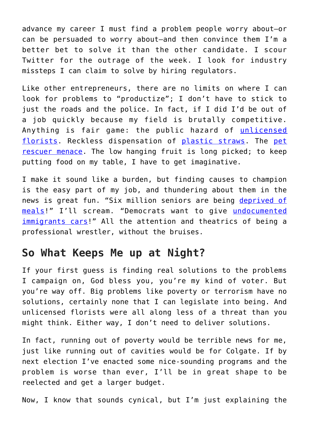advance my career I must find a problem people worry about—or can be persuaded to worry about—and then convince them I'm a better bet to solve it than the other candidate. I scour Twitter for the outrage of the week. I look for industry missteps I can claim to solve by hiring regulators.

Like other entrepreneurs, there are no limits on where I can look for problems to "productize"; I don't have to stick to just the roads and the police. In fact, if I did I'd be out of a job quickly because my field is brutally competitive. Anything is fair game: the public hazard of [unlicensed](http://www.ldaf.state.la.us/wp-content/uploads/2018/11/RF.pdf) [florists](http://www.ldaf.state.la.us/wp-content/uploads/2018/11/RF.pdf). Reckless dispensation of [plastic straws](https://www.sfgate.com/bayarea/article/straw-ban-santa-barbara-plastic-law-jail-fines-13105042.php). The [pet](http://www.firstcoastnews.com/article/news/nation-world/saving-pets-without-a-permit-good-samaritan-arrested-after-helping-animals-survive-florence/507-597325667) [rescuer menace](http://www.firstcoastnews.com/article/news/nation-world/saving-pets-without-a-permit-good-samaritan-arrested-after-helping-animals-survive-florence/507-597325667). The low hanging fruit is long picked; to keep putting food on my table, I have to get imaginative.

I make it sound like a burden, but finding causes to champion is the easy part of my job, and thundering about them in the news is great fun. "Six million seniors are being [deprived of](https://www.politifact.com/truth-o-meter/statements/2011/apr/06/nancy-pelosi/nancy-pelosi-says-gop-bill-would-deprive-six-milli/) [meals](https://www.politifact.com/truth-o-meter/statements/2011/apr/06/nancy-pelosi/nancy-pelosi-says-gop-bill-would-deprive-six-milli/)!" I'll scream. "Democrats want to give [undocumented](https://www.politifact.com/truth-o-meter/statements/2018/oct/22/donald-trump/donald-trump-says-democrats-want-give-cars-undocum/) [immigrants cars](https://www.politifact.com/truth-o-meter/statements/2018/oct/22/donald-trump/donald-trump-says-democrats-want-give-cars-undocum/)!" All the attention and theatrics of being a professional wrestler, without the bruises.

## **So What Keeps Me up at Night?**

If your first guess is finding real solutions to the problems I campaign on, God bless you, you're my kind of voter. But you're way off. Big problems like poverty or terrorism have no solutions, certainly none that I can legislate into being. And unlicensed florists were all along less of a threat than you might think. Either way, I don't need to deliver solutions.

In fact, running out of poverty would be terrible news for me, just like running out of cavities would be for Colgate. If by next election I've enacted some nice-sounding programs and the problem is worse than ever, I'll be in great shape to be reelected and get a larger budget.

Now, I know that sounds cynical, but I'm just explaining the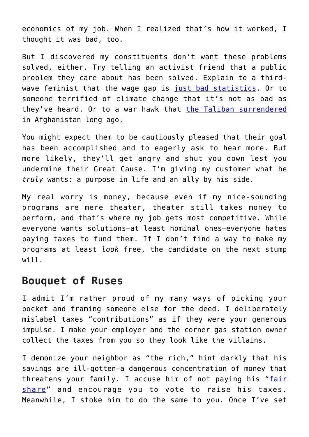economics of my job. When I realized that's how it worked, I thought it was bad, too.

But I discovered my constituents don't want these problems solved, either. Try telling an activist friend that a public problem they care about has been solved. Explain to a thirdwave feminist that the wage gap is [just bad statistics](https://www.forbes.com/sites/karinagness/2016/04/12/dont-buy-into-the-gender-pay-gap-myth/). Or to someone terrified of climate change that it's not as bad as they've heard. Or to a war hawk that [the Taliban surrendered](https://www.theamericanconservative.com/articles/war-without-a-rationale/) in Afghanistan long ago.

You might expect them to be cautiously pleased that their goal has been accomplished and to eagerly ask to hear more. But more likely, they'll get angry and shut you down lest you undermine their Great Cause. I'm giving my customer what he *truly* wants: a purpose in life and an ally by his side.

My real worry is money, because even if my nice-sounding programs are mere theater, theater still takes money to perform, and that's where my job gets most competitive. While everyone wants solutions—at least nominal ones—everyone hates paying taxes to fund them. If I don't find a way to make my programs at least *look* free, the candidate on the next stump will.

#### **Bouquet of Ruses**

I admit I'm rather proud of my many ways of picking your pocket and framing someone else for the deed. I deliberately mislabel taxes "contributions" as if they were your generous impulse. I make your employer and the corner gas station owner collect the taxes from you so they look like the villains.

I demonize your neighbor as "the rich," hint darkly that his savings are ill-gotten—a dangerous concentration of money that threatens your family. I accuse him of not paying his "[fair](https://www.youtube.com/watch?v=l99aomKYhTY) [share](https://www.youtube.com/watch?v=l99aomKYhTY)" and encourage you to vote to raise his taxes. Meanwhile, I stoke him to do the same to you. Once I've set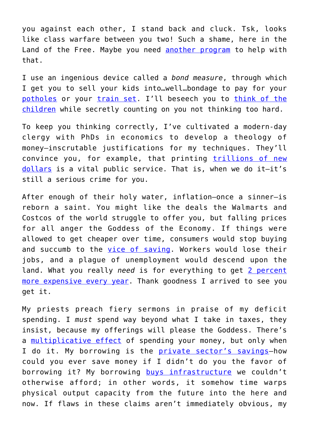you against each other, I stand back and cluck. Tsk, looks like class warfare between you two! Such a shame, here in the Land of the Free. Maybe you need [another program](https://www.baltimoresun.com/news/maryland/harford/aegis/ph-ag-choose-civility-events-20180709-story.html) to help with that.

I use an ingenious device called a *bond measure*, through which I get you to sell your kids into…well…bondage to pay for your [potholes](https://ballotpedia.org/San_Francisco_Road_Repaving_and_Street_Repair_bond_proposition,_Measure_B_(November_2011)) or your [train set](https://en.wikipedia.org/wiki/2008_California_Proposition_1A). I'll beseech you to [think of the](https://www.ballot.fyi/prop-4) [children](https://www.ballot.fyi/prop-4) while secretly counting on you not thinking too hard.

To keep you thinking correctly, I've cultivated a modern-day clergy with PhDs in economics to develop a theology of money—inscrutable justifications for my techniques. They'll convince you, for example, that printing [trillions of new](https://fred.stlouisfed.org/series/M1) [dollars](https://fred.stlouisfed.org/series/M1) is a vital public service. That is, when we do it—it's still a serious crime for you.

After enough of their holy water, inflation—once a sinner—is reborn a saint. You might like the deals the Walmarts and Costcos of the world struggle to offer you, but falling prices for all anger the Goddess of the Economy. If things were allowed to get cheaper over time, consumers would stop buying and succumb to the [vice of saving](https://www.nasdaq.com/article/household-debt-is-enslaving-americans-cm793135). Workers would lose their jobs, and a plague of unemployment would descend upon the land. What you really *need* is for everything to get [2 percent](https://www.cnbc.com/2018/06/29/the-fed-has-met-its-inflation-target-now-what.html) [more expensive every year](https://www.cnbc.com/2018/06/29/the-fed-has-met-its-inflation-target-now-what.html). Thank goodness I arrived to see you get it.

My priests preach fiery sermons in praise of my deficit spending. I *must* spend way beyond what I take in taxes, they insist, because my offerings will please the Goddess. There's a [multiplicative effect](https://www.investopedia.com/ask/answers/09/keynesian-multiplier.asp) of spending your money, but only when I do it. My borrowing is the **[private sector's savings](https://www.forbes.com/sites/johntharvey/2012/07/18/why-you-should-love-government-deficits/#1138b37f570a)-how** could you ever save money if I didn't do you the favor of borrowing it? My borrowing [buys infrastructure](https://www.cbsnews.com/news/government-deficits-the-good-the-bad-and-the-ugly/) we couldn't otherwise afford; in other words, it somehow time warps physical output capacity from the future into the here and now. If flaws in these claims aren't immediately obvious, my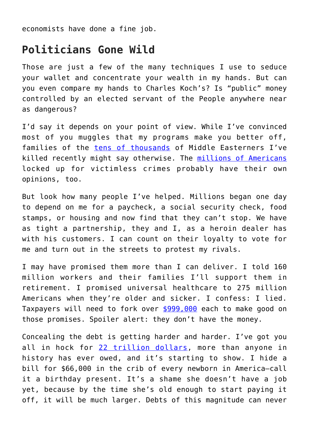economists have done a fine job.

## **Politicians Gone Wild**

Those are just a few of the many techniques I use to seduce your wallet and concentrate your wealth in my hands. But can you even compare my hands to Charles Koch's? Is "public" money controlled by an elected servant of the People anywhere near as dangerous?

I'd say it depends on your point of view. While I've convinced most of you muggles that my programs make you better off, families of the [tens of thousands](https://www.theatlantic.com/international/archive/2018/04/counting-the-dead-in-mosul/556466/) of Middle Easterners I've killed recently might say otherwise. The [millions of Americans](https://mic.com/articles/8558/why-we-need-prison-reform-victimless-crimes-are-86-of-the-federal-prison-population#.KSIJIlUe7) locked up for victimless crimes probably have their own opinions, too.

But look how many people I've helped. Millions began one day to depend on me for a paycheck, a social security check, food stamps, or housing and now find that they can't stop. We have as tight a partnership, they and I, as a heroin dealer has with his customers. I can count on their loyalty to vote for me and turn out in the streets to protest my rivals.

I may have promised them more than I can deliver. I told 160 million workers and their families I'll support them in retirement. I promised universal healthcare to 275 million Americans when they're older and sicker. I confess: I lied. Taxpayers will need to fork over [\\$999,000](http://usdebtclock.org) each to make good on those promises. Spoiler alert: they don't have the money.

Concealing the debt is getting harder and harder. I've got you all in hock for [22 trillion dollars,](http://usdebtclock.org/) more than anyone in history has ever owed, and it's starting to show. I hide a bill for \$66,000 in the crib of every newborn in America—call it a birthday present. It's a shame she doesn't have a job yet, because by the time she's old enough to start paying it off, it will be much larger. Debts of this magnitude can never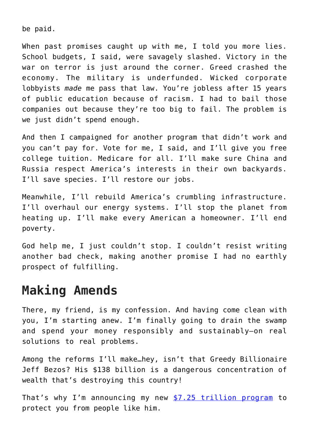be paid.

When past promises caught up with me, I told you more lies. School budgets, I said, were savagely slashed. Victory in the war on terror is just around the corner. Greed crashed the economy. The military is underfunded. Wicked corporate lobbyists *made* me pass that law. You're jobless after 15 years of public education because of racism. I had to bail those companies out because they're too big to fail. The problem is we just didn't spend enough.

And then I campaigned for another program that didn't work and you can't pay for. Vote for me, I said, and I'll give you free college tuition. Medicare for all. I'll make sure China and Russia respect America's interests in their own backyards. I'll save species. I'll restore our jobs.

Meanwhile, I'll rebuild America's crumbling infrastructure. I'll overhaul our energy systems. I'll stop the planet from heating up. I'll make every American a homeowner. I'll end poverty.

God help me, I just couldn't stop. I couldn't resist writing another bad check, making another promise I had no earthly prospect of fulfilling.

# **Making Amends**

There, my friend, is my confession. And having come clean with you, I'm starting anew. I'm finally going to drain the swamp and spend your money responsibly and sustainably—on real solutions to real problems.

Among the reforms I'll make…hey, isn't that Greedy Billionaire Jeff Bezos? His \$138 billion is a dangerous concentration of wealth that's destroying this country!

That's why I'm announcing my new [\\$7.25 trillion program](https://www.cnbc.com/2019/01/24/elizabeth-warren-to-propose-new-wealth-tax-economic-advisor.html) to protect you from people like him.